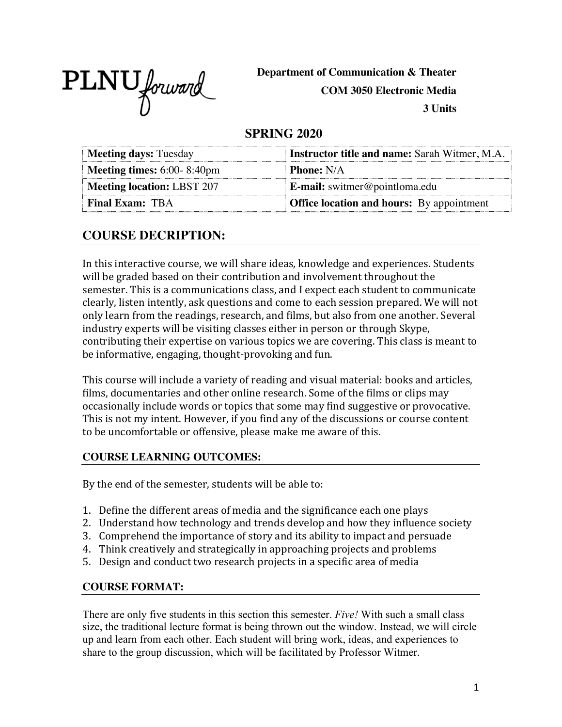PLNU forward

**Department of Communication & Theater**

**COM 3050 Electronic Media**

**3 Units**

## **SPRING 2020**

| <b>Meeting days: Tuesday</b>                | <b>Instructor title and name: Sarah Witmer, M.A.</b>    |
|---------------------------------------------|---------------------------------------------------------|
| <b>Meeting times:</b> $6:00-8:40 \text{pm}$ | <b>Phone:</b> N/A                                       |
| <b>Meeting location: LBST 207</b>           | $\mathbf{E}\text{-mail: } \text{switmer@pointloma.edu}$ |
| <b>Final Exam: TBA</b>                      | <b>Office location and hours:</b> By appointment        |

# **COURSE DECRIPTION:**

In this interactive course, we will share ideas, knowledge and experiences. Students will be graded based on their contribution and involvement throughout the semester. This is a communications class, and I expect each student to communicate clearly, listen intently, ask questions and come to each session prepared. We will not only learn from the readings, research, and films, but also from one another. Several industry experts will be visiting classes either in person or through Skype, contributing their expertise on various topics we are covering. This class is meant to be informative, engaging, thought-provoking and fun.

This course will include a variety of reading and visual material: books and articles, films, documentaries and other online research. Some of the films or clips may occasionally include words or topics that some may find suggestive or provocative. This is not my intent. However, if you find any of the discussions or course content to be uncomfortable or offensive, please make me aware of this.

#### **COURSE LEARNING OUTCOMES:**

By the end of the semester, students will be able to:

- 1. Define the different areas of media and the significance each one plays
- 2. Understand how technology and trends develop and how they influence society
- 3. Comprehend the importance of story and its ability to impact and persuade
- 4. Think creatively and strategically in approaching projects and problems
- 5. Design and conduct two research projects in a specific area of media

#### **COURSE FORMAT:**

There are only five students in this section this semester. *Five!* With such a small class size, the traditional lecture format is being thrown out the window. Instead, we will circle up and learn from each other. Each student will bring work, ideas, and experiences to share to the group discussion, which will be facilitated by Professor Witmer.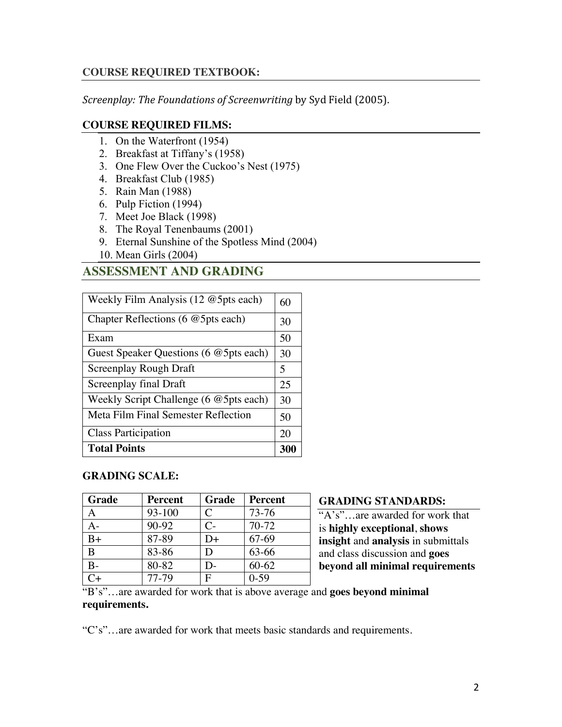#### **COURSE REQUIRED TEXTBOOK:**

*Screenplay: The Foundations of Screenwriting* by Syd Field (2005).

#### **COURSE REQUIRED FILMS:**

- 1. On the Waterfront (1954)
- 2. Breakfast at Tiffany's (1958)
- 3. One Flew Over the Cuckoo's Nest (1975)
- 4. Breakfast Club (1985)
- 5. Rain Man (1988)
- 6. Pulp Fiction (1994)
- 7. Meet Joe Black (1998)
- 8. The Royal Tenenbaums (2001)
- 9. Eternal Sunshine of the Spotless Mind (2004)
- 10. Mean Girls (2004)

# **ASSESSMENT AND GRADING**

| Weekly Film Analysis $(12 \times 5$ pts each) | 60  |
|-----------------------------------------------|-----|
| Chapter Reflections (6 @ 5pts each)           | 30  |
| Exam                                          | 50  |
| Guest Speaker Questions (6 @ 5pts each)       | 30  |
| Screenplay Rough Draft                        | 5   |
| Screenplay final Draft                        | 25  |
| Weekly Script Challenge (6 @ 5pts each)       | 30  |
| Meta Film Final Semester Reflection           | 50  |
| <b>Class Participation</b>                    | 20  |
| <b>Total Points</b>                           | 300 |

#### **GRADING SCALE:**

| <b>Grade</b> | <b>Percent</b> | Grade         | <b>Percent</b> |
|--------------|----------------|---------------|----------------|
|              | 93-100         | C             | 73-76          |
|              | 90-92          | $C-$          | $70-72$        |
| B+           | 87-89          | D+            | 67-69          |
| B            | 83-86          |               | 63-66          |
|              | 80-82          | $\mathcal{L}$ | $60 - 62$      |
|              | 77-79          |               | $0-59$         |

#### **GRADING STANDARDS:**

"A's"…are awarded for work that is **highly exceptional**, **shows insight** and **analysis** in submittals and class discussion and **goes beyond all minimal requirements** 

#### "B's"…are awarded for work that is above average and **goes beyond minimal requirements.**

"C's"…are awarded for work that meets basic standards and requirements.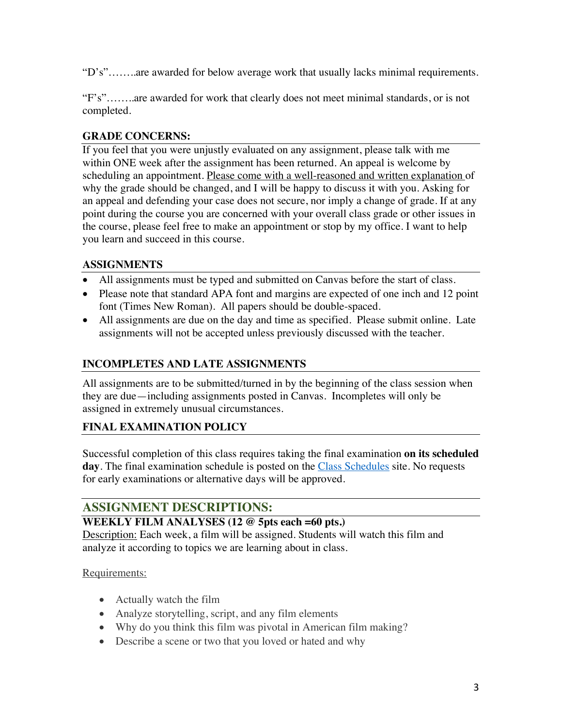"D's"……..are awarded for below average work that usually lacks minimal requirements.

"F's"……..are awarded for work that clearly does not meet minimal standards, or is not completed.

### **GRADE CONCERNS:**

If you feel that you were unjustly evaluated on any assignment, please talk with me within ONE week after the assignment has been returned. An appeal is welcome by scheduling an appointment. Please come with a well-reasoned and written explanation of why the grade should be changed, and I will be happy to discuss it with you. Asking for an appeal and defending your case does not secure, nor imply a change of grade. If at any point during the course you are concerned with your overall class grade or other issues in the course, please feel free to make an appointment or stop by my office. I want to help you learn and succeed in this course.

#### **ASSIGNMENTS**

- All assignments must be typed and submitted on Canvas before the start of class.
- Please note that standard APA font and margins are expected of one inch and 12 point font (Times New Roman). All papers should be double-spaced.
- All assignments are due on the day and time as specified. Please submit online. Late assignments will not be accepted unless previously discussed with the teacher.

## **INCOMPLETES AND LATE ASSIGNMENTS**

All assignments are to be submitted/turned in by the beginning of the class session when they are due—including assignments posted in Canvas. Incompletes will only be assigned in extremely unusual circumstances.

## **FINAL EXAMINATION POLICY**

Successful completion of this class requires taking the final examination **on its scheduled**  day. The final examination schedule is posted on the Class Schedules site. No requests for early examinations or alternative days will be approved.

# **ASSIGNMENT DESCRIPTIONS:**

#### **WEEKLY FILM ANALYSES (12 @ 5pts each =60 pts.)**

Description: Each week, a film will be assigned. Students will watch this film and analyze it according to topics we are learning about in class.

#### Requirements:

- Actually watch the film
- Analyze storytelling, script, and any film elements
- Why do you think this film was pivotal in American film making?
- Describe a scene or two that you loved or hated and why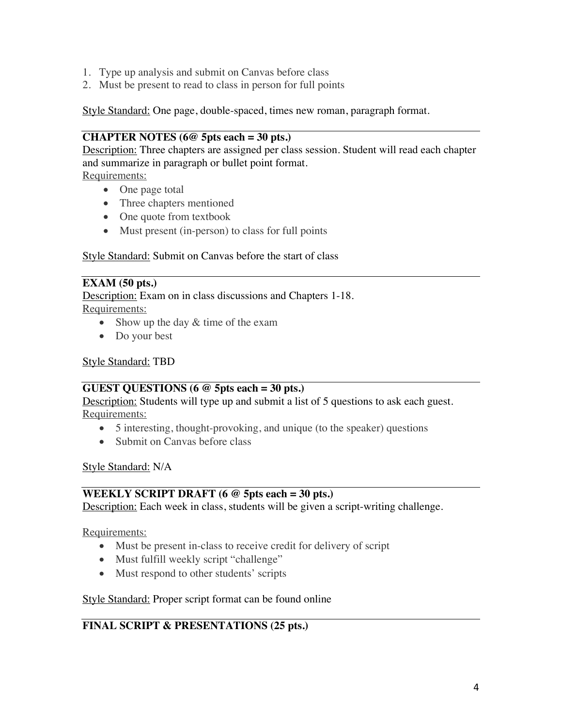- 1. Type up analysis and submit on Canvas before class
- 2. Must be present to read to class in person for full points

Style Standard: One page, double-spaced, times new roman, paragraph format.

## **CHAPTER NOTES (6@ 5pts each = 30 pts.)**

Description: Three chapters are assigned per class session. Student will read each chapter and summarize in paragraph or bullet point format.

Requirements:

- One page total
- Three chapters mentioned
- One quote from textbook
- Must present (in-person) to class for full points

#### Style Standard: Submit on Canvas before the start of class

#### **EXAM (50 pts.)**

Description: Exam on in class discussions and Chapters 1-18. Requirements:

- Show up the day  $&$  time of the exam
- Do your best

#### Style Standard: TBD

#### **GUEST QUESTIONS (6 @ 5pts each = 30 pts.)**

**Description:** Students will type up and submit a list of 5 questions to ask each guest. Requirements:

- 5 interesting, thought-provoking, and unique (to the speaker) questions
- Submit on Canvas before class

Style Standard: N/A

#### **WEEKLY SCRIPT DRAFT (6 @ 5pts each = 30 pts.)**

Description: Each week in class, students will be given a script-writing challenge.

Requirements:

- Must be present in-class to receive credit for delivery of script
- Must fulfill weekly script "challenge"
- Must respond to other students' scripts

#### Style Standard: Proper script format can be found online

## **FINAL SCRIPT & PRESENTATIONS (25 pts.)**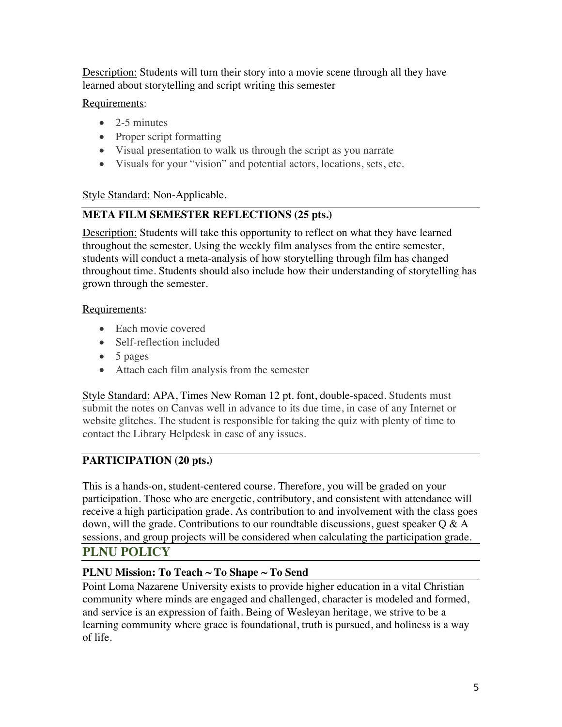Description: Students will turn their story into a movie scene through all they have learned about storytelling and script writing this semester

## Requirements:

- $\bullet$  2-5 minutes
- Proper script formatting
- Visual presentation to walk us through the script as you narrate
- Visuals for your "vision" and potential actors, locations, sets, etc.

## Style Standard: Non-Applicable.

# **META FILM SEMESTER REFLECTIONS (25 pts.)**

**Description:** Students will take this opportunity to reflect on what they have learned throughout the semester. Using the weekly film analyses from the entire semester, students will conduct a meta-analysis of how storytelling through film has changed throughout time. Students should also include how their understanding of storytelling has grown through the semester.

## Requirements:

- Each movie covered
- Self-reflection included
- 5 pages
- Attach each film analysis from the semester

Style Standard: APA, Times New Roman 12 pt. font, double-spaced. Students must submit the notes on Canvas well in advance to its due time, in case of any Internet or website glitches. The student is responsible for taking the quiz with plenty of time to contact the Library Helpdesk in case of any issues.

# **PARTICIPATION (20 pts.)**

This is a hands-on, student-centered course. Therefore, you will be graded on your participation. Those who are energetic, contributory, and consistent with attendance will receive a high participation grade. As contribution to and involvement with the class goes down, will the grade. Contributions to our roundtable discussions, guest speaker  $Q \& A$ sessions, and group projects will be considered when calculating the participation grade.

## **PLNU POLICY**

## **PLNU Mission: To Teach ~ To Shape ~ To Send**

Point Loma Nazarene University exists to provide higher education in a vital Christian community where minds are engaged and challenged, character is modeled and formed, and service is an expression of faith. Being of Wesleyan heritage, we strive to be a learning community where grace is foundational, truth is pursued, and holiness is a way of life.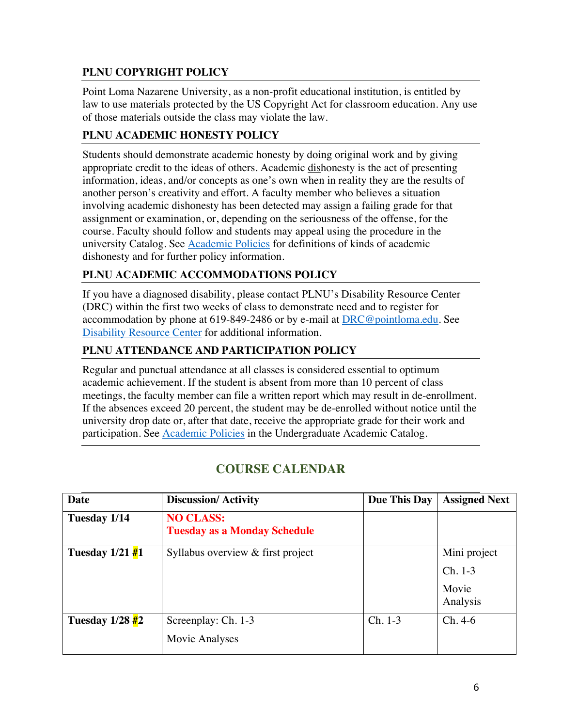## **PLNU COPYRIGHT POLICY**

Point Loma Nazarene University, as a non-profit educational institution, is entitled by law to use materials protected by the US Copyright Act for classroom education. Any use of those materials outside the class may violate the law.

## **PLNU ACADEMIC HONESTY POLICY**

Students should demonstrate academic honesty by doing original work and by giving appropriate credit to the ideas of others. Academic dishonesty is the act of presenting information, ideas, and/or concepts as one's own when in reality they are the results of another person's creativity and effort. A faculty member who believes a situation involving academic dishonesty has been detected may assign a failing grade for that assignment or examination, or, depending on the seriousness of the offense, for the course. Faculty should follow and students may appeal using the procedure in the university Catalog. See Academic Policies for definitions of kinds of academic dishonesty and for further policy information.

## **PLNU ACADEMIC ACCOMMODATIONS POLICY**

If you have a diagnosed disability, please contact PLNU's Disability Resource Center (DRC) within the first two weeks of class to demonstrate need and to register for accommodation by phone at 619-849-2486 or by e-mail at DRC@pointloma.edu. See Disability Resource Center for additional information.

## **PLNU ATTENDANCE AND PARTICIPATION POLICY**

Regular and punctual attendance at all classes is considered essential to optimum academic achievement. If the student is absent from more than 10 percent of class meetings, the faculty member can file a written report which may result in de-enrollment. If the absences exceed 20 percent, the student may be de-enrolled without notice until the university drop date or, after that date, receive the appropriate grade for their work and participation. See Academic Policies in the Undergraduate Academic Catalog.

| Date                                          | <b>Discussion/Activity</b>                              | Due This Day | <b>Assigned Next</b>                           |
|-----------------------------------------------|---------------------------------------------------------|--------------|------------------------------------------------|
| Tuesday 1/14                                  | <b>NO CLASS:</b><br><b>Tuesday as a Monday Schedule</b> |              |                                                |
| Tuesday $1/21 \frac{H}{H}$                    | Syllabus overview & first project                       |              | Mini project<br>$Ch. 1-3$<br>Movie<br>Analysis |
| Tuesday $1/28 \frac{\textit{#}}{\textit{#2}}$ | Screenplay: Ch. 1-3<br>Movie Analyses                   | $Ch. 1-3$    | $Ch. 4-6$                                      |

# **COURSE CALENDAR**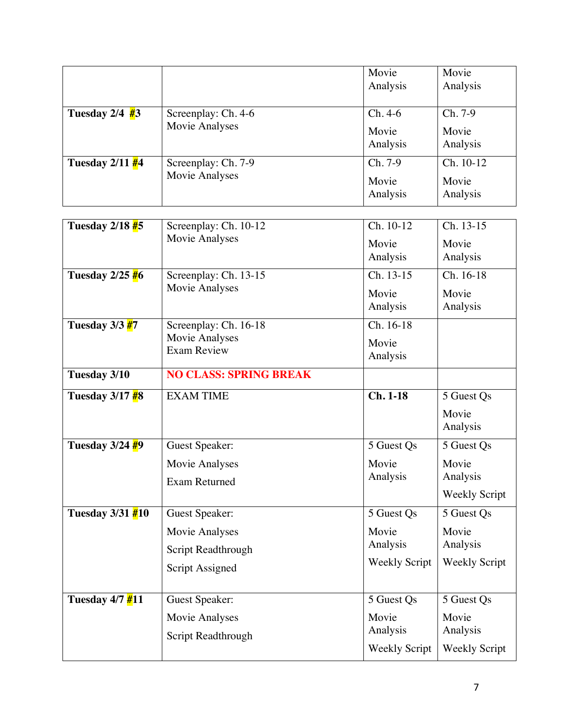|                             |                                        | Movie<br>Analysis    | Movie<br>Analysis    |
|-----------------------------|----------------------------------------|----------------------|----------------------|
|                             |                                        |                      |                      |
| Tuesday $2/4$ #3            | Screenplay: Ch. 4-6                    | $Ch.4-6$             | Ch. 7-9              |
|                             | Movie Analyses                         | Movie<br>Analysis    | Movie<br>Analysis    |
| Tuesday 2/11 #4             | Screenplay: Ch. 7-9                    | Ch. 7-9              | Ch. 10-12            |
|                             | Movie Analyses                         | Movie<br>Analysis    | Movie<br>Analysis    |
| Tuesday $2/18$ $#5$         | Screenplay: Ch. 10-12                  | Ch. 10-12            | Ch. 13-15            |
|                             | Movie Analyses                         | Movie<br>Analysis    | Movie<br>Analysis    |
| Tuesday $2/25\frac{1}{10}6$ | Screenplay: Ch. 13-15                  | Ch. 13-15            | Ch. 16-18            |
|                             | Movie Analyses                         | Movie<br>Analysis    | Movie<br>Analysis    |
| Tuesday $3/3 \frac{H}{47}$  | Screenplay: Ch. 16-18                  | Ch. 16-18            |                      |
|                             | Movie Analyses<br><b>Exam Review</b>   | Movie<br>Analysis    |                      |
| Tuesday 3/10                | <b>NO CLASS: SPRING BREAK</b>          |                      |                      |
| Tuesday $3/17$ $#8$         | <b>EXAM TIME</b>                       | $Ch. 1-18$           | 5 Guest Qs           |
|                             |                                        |                      | Movie<br>Analysis    |
| Tuesday 3/24 <sup>#9</sup>  | <b>Guest Speaker:</b>                  | 5 Guest Qs           | 5 Guest Qs           |
|                             | Movie Analyses<br><b>Exam Returned</b> | Movie<br>Analysis    | Movie<br>Analysis    |
|                             |                                        |                      | <b>Weekly Script</b> |
| Tuesday $3/31$ $#10$        | <b>Guest Speaker:</b>                  | 5 Guest Qs           | 5 Guest Qs           |
|                             | Movie Analyses                         | Movie                | Movie                |
|                             | Script Readthrough                     | Analysis             | Analysis             |
|                             | Script Assigned                        | <b>Weekly Script</b> | <b>Weekly Script</b> |
| Tuesday 4/7 #11             | <b>Guest Speaker:</b>                  | 5 Guest Qs           | 5 Guest Qs           |
|                             | Movie Analyses                         | Movie                | Movie                |
|                             | Script Readthrough                     | Analysis             | Analysis             |
|                             |                                        | <b>Weekly Script</b> | <b>Weekly Script</b> |